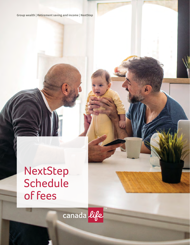Group wealth | Retirement saving and income | NextStep

# NextStep **Schedule** of fees

canada life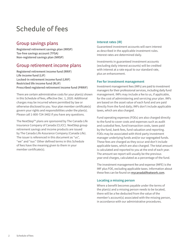# Schedule of fees

### Group savings plans

**Registered retirement savings plan (RRSP) Tax-free savings account (TFSA) Non-registered savings plan (NRSP)** 

## Group retirement income plans

**Registered retirement income fund (RRIF) Life income fund (LIF) Locked-in retirement income fund (LRIF) Restricted life income fund (RLIF) Prescribed registered retirement income fund (PRRIF)** 

There are certain administrative costs for your plan(s) shown in this Schedule of fees, effective Dec. 1, 2020. Additional charges may be incurred where permitted by law or otherwise disclosed to you. Your plan member certificate(s) govern your rights and responsibilities under the plan(s). Please call 1-800-724-3402 if you have any questions.

The NextStep™ plans are sponsored by The Canada Life Insurance Company of Canada (CLICC). NextStep group retirement savings and income products are issued by The Canada Life Assurance Company (Canada Life). The issuer is referenced in this document as "us", "we" and "our." Other defined terms in this Schedule of fees have the meaning given to them in your member certificate(s).

#### **Interest rates (IR)**

Guaranteed investment accounts will earn interest as described in the applicable investment rules. Interest rates are determined daily.

Investments in guaranteed investment accounts (excluding daily interest accounts) will be credited with interest at a rate equal to our standard rate, plus an enhancement.

#### **Fee for investment management**

Investment management fees (IMFs) are paid to investment managers for their professional services, including daily fund management. IMFs may include a fee to us, if applicable, for the cost of administering and servicing your plan. IMFs are based on the asset value of each fund and are paid directly from the fund daily; IMFs don't include applicable taxes, which are also charged.

Fund operating expenses (FOEs) are also charged directly to the fund to cover costs and expenses such as audit and custodial fees, fund transaction costs, taxes paid by the fund, bank fees, fund valuation and reporting. FOEs may be associated with third-party investment manager underlying funds and/or our segregated funds. These fees are charged as they occur and don't include applicable taxes, which are also charged. The total amount is calculated and reported to you at the end of each year. The amount we report will usually be the previous year-end charges, calculated as a percentage of the fund.

The investment management fee and expense (IMFE) is the IMF plus FOE, excluding applicable taxes. Information about these fees can be found on **[mycanadalifeatwork.com](http://mycanadalifeatwork.com)**.

#### **Locating a missing person**

Where a benefit becomes payable under the terms of the plan(s) and a missing person needs to be located, there will be a fee deducted from the value of the member's account(s) associated with the missing person, in accordance with our administrative procedures.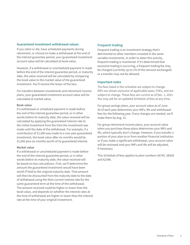#### **Guaranteed investment withdrawal values**

If you retire or die, have scheduled payments during retirement, or choose to make a withdrawal at the end of the interest guarantee period, your guaranteed investment account value will be calculated at book value.

However, if a withdrawal or unscheduled payment is made before the end of the interest guarantee period, or maturity date, the value received will be calculated by comparing the book value to the market value of the guaranteed investment. You'll receive the lesser of the two.

For transfers between investments and retirement income plans, your guaranteed investment account value will be calculated at market value.

#### **Book value**

If a withdrawal or scheduled payment is made before the end of the interest guarantee period, or in other words before its maturity date, the value received will be calculated by applying the guaranteed interest rate to the initial investment from the time the investment was made until the date of the withdrawal. For example, if a contribution of \$1,000 was made to a one-year guaranteed investment, the book value after six months would be \$1,000 plus six months worth of its guaranteed interest.

#### **Market value**

If a withdrawal or unscheduled payment is made before the end of the interest guarantee period, or in other words before its maturity date, the value received will be based on two calculations. First, we'll determine the amount the guaranteed investment would have been worth if held to the original maturity date. That amount will then be discounted from the maturity date to the date of withdrawal using the then current interest rate for the same guaranteed term at the time of the withdrawal. The amount received could be higher or lower than the book value, and depends on whether the interest rates at the time of withdrawal are higher or lower than the interest rate at the time of your original investment.

#### **Frequent trading**

Frequent trading is an investment strategy that's detrimental to other members invested in the same variable investments. In order to deter this activity, frequent trading is monitored. If it's determined that excessive trading is occurring, a frequent trading fee may be charged (currently up to 2% of the amount exchanged) or a transfer may not be allowed.

#### **Important notes**

The fees listed in this schedule are subject to change. IMFs are shown exclusive of applicable taxes, FOEs, and are subject to change. These fees are current as of Dec. 1, 2021. You may ask for an updated Schedule of fees at any time.

For group savings plans, your account value as of June 30 of each year determines your IMFs, IRs and withdrawal fees for the following year. If any changes are needed, we'll make them by Aug. 31.

For group retirement income plans, your account value when you purchase these plans determines your IMFs and IRs, which typically don't change. However, if you transfer a portion of your plan to or from another financial institution or if you make a significant withdrawal, your account value will be reviewed and your IMFs and IRs will be adjusted, if necessary.

This Schedule of fees applies to plan numbers 36745, 38028 and 62396.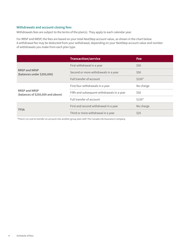#### **Withdrawals and account-closing fees**

Withdrawals fees are subject to the terms of the plan(s). They apply to each calendar year.

For RRSP and NRSP, the fees are based on your total NextStep account value, as shown in the chart below. A withdrawal fee may be deducted from your withdrawal, depending on your NextStep account value and number of withdrawals you make from each plan type.

|                                                           | <b>Transaction/service</b>                 | <b>Fee</b> |
|-----------------------------------------------------------|--------------------------------------------|------------|
|                                                           | First withdrawal in a year                 | \$50       |
| <b>RRSP and NRSP</b><br>(balances under \$250,000)        | Second or more withdrawals in a year       | \$50       |
|                                                           | Full transfer of account                   | $$150*$    |
|                                                           | First four withdrawals in a year           | No charge  |
| <b>RRSP and NRSP</b><br>(balances of \$250,000 and above) | Fifth and subsequent withdrawals in a year | \$50       |
|                                                           | Full transfer of account                   | $$150*$    |
|                                                           | First and second withdrawal in a year      | No charge  |
| <b>TFSA</b>                                               | Third or more withdrawal in a year         | \$25       |

\* There's no cost to transfer an account into another group plan with The Canada Life Assurance Company.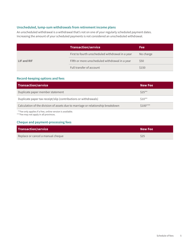#### **Unscheduled, lump-sum withdrawals from retirement income plans**

An unscheduled withdrawal is a withdrawal that's not on one of your regularly scheduled payment dates. Increasing the amount of your scheduled payments is not considered an unscheduled withdrawal.

|             | <b>Transaction/service</b>                       | <b>Fee</b> |
|-------------|--------------------------------------------------|------------|
|             | First to fourth unscheduled withdrawal in a year | No charge  |
| LIF and RIF | Fifth or more unscheduled withdrawal in a year   | \$50       |
|             | Full transfer of account                         | \$150      |

#### **Record-keeping options and fees**

| <b>Transaction/service</b>                                                      | <b>New Fee</b> |
|---------------------------------------------------------------------------------|----------------|
| Duplicate paper member statement                                                | $$25***$       |
| Duplicate paper tax receipt/slip (contributions or withdrawals)                 | $$10**$        |
| Calculation of the division of assets due to marriage or relationship breakdown | $$100***$      |

\*\*Fee only applies if a free, online version is available.

\*\*\*Fee may not apply in all provinces.

#### **Cheque and payment-processing fees**

| <b>Transaction/service</b>        | <b>New Fee</b> |
|-----------------------------------|----------------|
| Replace or cancel a manual cheque | \$25           |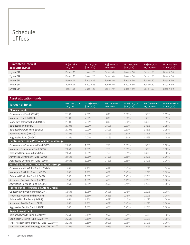# Schedule of fees

| <b>Guaranteed interest</b><br>accounts (GIAs) | IR (less than<br>\$50,000 | IR (\$50,000-<br>\$100,000 | IR (\$100,000-<br>\$250,000 | IR (\$250,000-<br>\$500,000 | IR (\$500,000-<br>\$1,000,000 | IR (more than<br>\$1,000,000 |
|-----------------------------------------------|---------------------------|----------------------------|-----------------------------|-----------------------------|-------------------------------|------------------------------|
| 1 year GIA                                    | Base $+.15$               | $Base + 25$                | $Base + 40$                 | $Base + .50$                | $Base+.50$                    | $Base + .50$                 |
| 2 year GIA                                    | Base $+.15$               | $Base + .25$               | $Base + 40$                 | $Base + .50$                | $Base + .50$                  | $Base + .50$                 |
| 3 year GIA                                    | Base $+.15$               | $Base + 25$                | $Base + 40$                 | $Base + .50$                | $Base + .50$                  | $Base + .50$                 |
| 4 year GIA                                    | Base +.15                 | $Base + 25$                | $Base + 40$                 | $Base + .50$                | $Base + .50$                  | $Base + .50$                 |
| 5 year GIA                                    | Base $+.15$               | $Base + 25$                | Base +.40                   | $Base + .50$                | $Base + .50$                  | $Base + .50$                 |

| <b>Asset allocation funds</b>                      |                            |                             |                              |                              |                                |                               |
|----------------------------------------------------|----------------------------|-----------------------------|------------------------------|------------------------------|--------------------------------|-------------------------------|
| <b>Target risk funds</b>                           | IMF (less than<br>\$50,000 | IMF (\$50,000-<br>\$100,000 | IMF (\$100,000-<br>\$250,000 | IMF (\$250,000-<br>\$500,000 | IMF (\$500,000-<br>\$1,000,000 | IMF (more than<br>\$1,000,000 |
| <b>CI Investments</b>                              |                            |                             |                              |                              |                                |                               |
| Conservative Fund (CONCI)                          | 2.10%                      | 2.00%                       | 1.80%                        | 1.60%                        | 1.35%                          | 1.15%                         |
| Moderate Fund (MODCI)                              | 2.10%                      | 2.00%                       | 1.80%                        | 1.60%                        | 1.35%                          | 1.15%                         |
| Moderate Balanced Fund (MOBCI)                     | 2.10%                      | 2.00%                       | 1.80%                        | 1.60%                        | 1.35%                          | 1.15%                         |
| Balanced Fund (BALCI)                              | 2.10%                      | 2.00%                       | 1.80%                        | 1.60%                        | 1.35%                          | 1.15%                         |
| <b>Balanced Growth Fund (BGRCI)</b>                | 2.10%                      | 2.00%                       | 1.80%                        | 1.60%                        | 1.35%                          | 1.15%                         |
| Advanced Fund (ADVCI)                              | 2.10%                      | 2.00%                       | 1.80%                        | 1.60%                        | 1.35%                          | 1.15%                         |
| Aggressive Fund (AGGCI)                            | 2.10%                      | 2.00%                       | 1.80%                        | 1.60%                        | 1.35%                          | 1.15%                         |
| <b>Continuum Funds (Portfolio Solutions Group)</b> |                            |                             |                              |                              |                                |                               |
| Conservative Continuum Fund (S605)                 | 2.05%                      | 1.95%                       | 1.75%                        | 1.55%                        | 1.30%                          | 1.10%                         |
| Moderate Continuum Fund (S606)                     | 2.05%                      | 1.95%                       | 1.75%                        | 1.55%                        | 1.30%                          | 1.10%                         |
| Balanced Continuum Fund (S607)                     | 2.05%                      | 1.95%                       | 1.75%                        | 1.55%                        | 1.30%                          | 1.10%                         |
| Advanced Continuum Fund (S608)                     | 2.05%                      | 1.95%                       | 1.75%                        | 1.55%                        | 1.30%                          | 1.10%                         |
| Aggressive Continuum Fund (S609)                   | 2.05%                      | 1.95%                       | 1.75%                        | 1.55%                        | 1.30%                          | 1.10%                         |
| Portfolio Funds (Portfolio Solutions Group)        |                            |                             |                              |                              |                                |                               |
| Conservative Portfolio Fund (LCOPO)                | 1.95%                      | 1.85%                       | 1.65%                        | 1.45%                        | 1.20%                          | 1.00%                         |
| Moderate Portfolio Fund (LMOPO)                    | 1.95%                      | 1.85%                       | 1.65%                        | 1.45%                        | 1.20%                          | 1.00%                         |
| Balanced Portfolio Fund (LBAPO)                    | 1.95%                      | 1.85%                       | 1.65%                        | 1.45%                        | 1.20%                          | 1.00%                         |
| Advanced Portfolio Fund (LADPO)                    | 1.95%                      | 1.85%                       | 1.65%                        | 1.45%                        | 1.20%                          | 1.00%                         |
| Aggressive Portfolio Fund (LAGPO)                  | 1.95%                      | 1.85%                       | 1.65%                        | 1.45%                        | 1.20%                          | 1.00%                         |
| Profile Funds (Portfolio Solutions Group)          |                            |                             |                              |                              |                                |                               |
| Conservative Profile Fund (LCOPR)                  | 1.95%                      | 1.85%                       | 1.65%                        | 1.45%                        | 1.20%                          | 1.00%                         |
| Moderate Profile Fund (LMOPR)                      | 1.95%                      | 1.85%                       | 1.65%                        | 1.45%                        | 1.20%                          | 1.00%                         |
| Balanced Profile Fund (LBAPR)                      | 1.95%                      | 1.85%                       | 1.65%                        | 1.45%                        | 1.20%                          | 1.00%                         |
| Advanced Profile Fund (LCFPR)                      | 1.95%                      | 1.85%                       | 1.65%                        | 1.45%                        | 1.20%                          | 1.00%                         |
| Aggressive Profile Fund (LAGPR)                    | 1.95%                      | 1.85%                       | 1.65%                        | 1.45%                        | 1.20%                          | 1.00%                         |
| <b>Russell Investments</b>                         |                            |                             |                              |                              |                                |                               |
| Balanced Growth Fund (S321)****                    | 2.25%                      | 2.15%                       | 1.95%                        | 1.75%                        | 1.50%                          | 1.30%                         |
| Long-Term Growth Fund (S322)****                   | 2.25%                      | 2.15%                       | 1.95%                        | 1.75%                        | 1.50%                          | 1.30%                         |
| Multi-Asset Income Strategy Fund (S320)****        | 2.25%                      | 2.15%                       | 1.95%                        | 1.75%                        | 1.50%                          | 1.30%                         |
| Multi-Asset Growth Strategy Fund (S328)****        | 2.25%                      | 2.15%                       | 1.95%                        | 1.75%                        | 1.50%                          | 1.30%                         |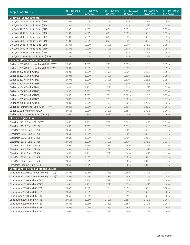| <b>Target date funds</b>                     | IMF (less than<br>\$50,000) | IMF (\$50,000-<br>\$100,000) | IMF (\$100,000-<br>\$250,000 | IMF (\$250,000-<br>\$500,000 | IMF (\$500,000-<br>\$1,000,000 | IMF (more than<br>\$1,000,000 |
|----------------------------------------------|-----------------------------|------------------------------|------------------------------|------------------------------|--------------------------------|-------------------------------|
| Lifecycle (CI Investments)                   |                             |                              |                              |                              |                                |                               |
| LifeCycle 2015 Portfolio Fund (CI15)         | 2.10%                       | 2.00%                        | 1.80%                        | 1.60%                        | 1.35%                          | 1.15%                         |
| LifeCycle 2020 Portfolio Fund (CI20)         | 2.10%                       | 2.00%                        | 1.80%                        | 1.60%                        | 1.35%                          | 1.15%                         |
| LifeCycle 2025 Portfolio Fund (CI25)         | 2.10%                       | 2.00%                        | 1.80%                        | 1.60%                        | 1.35%                          | 1.15%                         |
| LifeCycle 2030 Portfolio Fund (CI30)         | 2.10%                       | 2.00%                        | 1.80%                        | 1.60%                        | 1.35%                          | 1.15%                         |
| LifeCycle 2035 Portfolio Fund (CI35)         | 2.10%                       | 2.00%                        | 1.80%                        | 1.60%                        | 1.35%                          | 1.15%                         |
| LifeCycle 2040 Portfolio Fund (CI40)         | 2.10%                       | 2.00%                        | 1.80%                        | 1.60%                        | 1.35%                          | 1.15%                         |
| LifeCycle 2045 Portfolio Fund (CI45)         | 2.10%                       | 2.00%                        | 1.80%                        | 1.60%                        | 1.35%                          | 1.15%                         |
| LifeCycle 2050 Portfolio Fund (CI50)         | 2.10%                       | 2.00%                        | 1.80%                        | 1.60%                        | 1.35%                          | 1.15%                         |
| LifeCycle 2055 Portfolio Fund (CI55)         | 2.10%                       | 2.00%                        | 1.80%                        | 1.60%                        | 1.35%                          | 1.15%                         |
| LifeCycle Income Portfolio Fund (CIINC)      | 2.10%                       | 2.00%                        | 1.80%                        | 1.60%                        | 1.35%                          | 1.15%                         |
| <b>Cadence (Portfolio Solutions Group)</b>   |                             |                              |                              |                              |                                |                               |
| Cadence 2010 Retirement Fund (CAD10)****     | 2.00%                       | 1.90%                        | 1.70%                        | 1.50%                        | 1.25%                          | 1.05%                         |
| Cadence 2015 Retirement Fund (CAD15)****     | 2.00%                       | 1.90%                        | 1.70%                        | 1.50%                        | 1.25%                          | 1.05%                         |
| Cadence 2020 Fund (CAD20)                    | 2.00%                       | 1.90%                        | 1.70%                        | 1.50%                        | 1.25%                          | 1.05%                         |
| Cadence 2025 Fund (CAD25)                    | 2.00%                       | 1.90%                        | 1.70%                        | 1.50%                        | 1.25%                          | 1.05%                         |
| Cadence 2030 Fund (CAD30)                    | 2.00%                       | 1.90%                        | 1.70%                        | 1.50%                        | 1.25%                          | 1.05%                         |
| Cadence 2035 Fund (CAD35)                    | 2.00%                       | 1.90%                        | 1.70%                        | 1.50%                        | 1.25%                          | 1.05%                         |
| Cadence 2040 Fund (CAD40)                    | 2.00%                       | 1.90%                        | 1.70%                        | 1.50%                        | 1.25%                          | 1.05%                         |
| Cadence 2045 Fund (CAD45)                    | 2.00%                       | 1.90%                        | 1.70%                        | 1.50%                        | 1.25%                          | 1.05%                         |
| Cadence 2050 Fund (CAD50)                    | 2.00%                       | 1.90%                        | 1.70%                        | 1.50%                        | 1.25%                          | 1.05%                         |
| Cadence 2055 Fund (CAD55)                    | 2.00%                       | 1.90%                        | 1.70%                        | 1.50%                        | 1.25%                          | 1.05%                         |
| Cadence 2060 Fund (CAD60)                    | 2.00%                       | 1.90%                        | 1.70%                        | 1.50%                        | 1.25%                          | 1.05%                         |
| Cadence Retirement Fund (CADRT)****          | 2.00%                       | 1.90%                        | 1.70%                        | 1.50%                        | 1.25%                          | 1.05%                         |
| Cadence Equity Fund (CADEQ)                  | 2.05%                       | 1.95%                        | 1.75%                        | 1.55%                        | 1.30%                          | 1.10%                         |
| Cadence Fixed Income Fund (CADFI)            | 1.95%                       | 1.85%                        | 1.65%                        | 1.45%                        | 1.20%                          | 1.00%                         |
| ClearPath <sup>®</sup> (Fidelity)            |                             |                              |                              |                              |                                |                               |
| ClearPath 2010 Fund (CP10)****               | 2.06%                       | 1.96%                        | 1.76%                        | 1.56%                        | 1.31%                          | 1.11%                         |
| ClearPath 2015 Fund (CP15)                   | 2.06%                       | 1.96%                        | 1.76%                        | 1.56%                        | 1.31%                          | 1.11%                         |
| ClearPath 2020 Fund (CP20)                   | 2.06%                       | 1.96%                        | 1.76%                        | 1.56%                        | 1.31%                          | 1.11%                         |
| ClearPath 2025 Fund (CP25)                   | 2.06%                       | 1.96%                        | 1.76%                        | 1.56%                        | 1.31%                          | 1.11%                         |
| ClearPath 2030 Fund (CP30)                   | 2.06%                       | 1.96%                        | 1.76%                        | 1.56%                        | 1.31%                          | 1.11%                         |
| ClearPath 2035 Fund (CP35)                   | 2.06%                       | 1.96%                        | 1.76%                        | 1.56%                        | 1.31%                          | 1.11%                         |
| ClearPath 2040 Fund (CP40)                   | 2.06%                       | 1.96%                        | 1.76%                        | 1.56%                        | 1.31%                          | 1.11%                         |
| ClearPath 2045 Fund (CP45)                   | 2.06%                       | 1.96%                        | 1.76%                        | 1.56%                        | 1.31%                          | 1.11%                         |
| ClearPath 2050 Fund (CP50)                   | 2.06%                       | 1.96%                        | 1.76%                        | 1.56%                        | 1.31%                          | 1.11%                         |
| ClearPath 2055 Fund (CP55)                   | 2.06%                       | 1.96%                        | 1.76%                        | 1.56%                        | 1.31%                          | 1.11%                         |
| ClearPath 2060 Fund (CP60)                   | 2.06%                       | 1.96%                        | 1.76%                        | 1.56%                        | 1.31%                          | 1.11%                         |
| ClearPath Income Fund (CPIF)                 | 2.06%                       | 1.96%                        | 1.76%                        | 1.56%                        | 1.31%                          | 1.11%                         |
| <b>Continuum (Portfolio Solutions Group)</b> |                             |                              |                              |                              |                                |                               |
| Continuum 2010 Retirement Fund (CNT10)****   | 2.05%                       | 1.95%                        | 1.75%                        | 1.55%                        | 1.30%                          | 1.10%                         |
| Continuum 2015 Retirement Fund (CNT15)****   | 2.05%                       | 1.95%                        | 1.75%                        | 1.55%                        | 1.30%                          | 1.10%                         |
| Continuum 2020 Fund (CNT20)                  | 2.05%                       | 1.95%                        | 1.75%                        | 1.55%                        | 1.30%                          | 1.10%                         |
| Continuum 2025 Fund (CNT25)                  | 2.05%                       | 1.95%                        | 1.75%                        | 1.55%                        | 1.30%                          | 1.10%                         |
| Continuum 2030 Fund (CNT30)                  | 2.05%                       | 1.95%                        | 1.75%                        | 1.55%                        | 1.30%                          | 1.10%                         |
| Continuum 2035 Fund (CNT35)                  | 2.05%                       | 1.95%                        | 1.75%                        | 1.55%                        | 1.30%                          | 1.10%                         |
| Continuum 2040 Fund (CNT40)                  | 2.05%                       | 1.95%                        | 1.75%                        | 1.55%                        | 1.30%                          | 1.10%                         |
| Continuum 2045 Fund (CNT45)                  | 2.05%                       | 1.95%                        | 1.75%                        | 1.55%                        | 1.30%                          | 1.10%                         |
| Continuum 2050 Fund (CNT50)                  | 2.05%                       | 1.95%                        | 1.75%                        | 1.55%                        | 1.30%                          | 1.10%                         |
| Continuum 2055 Fund (CNT55)                  | 2.05%                       | 1.95%                        | 1.75%                        | 1.55%                        | 1.30%                          | 1.10%                         |
| Continuum 2060 Fund (CNT60)                  | 2.05%                       | 1.95%                        | 1.75%                        | 1.55%                        | 1.30%                          | 1.10%                         |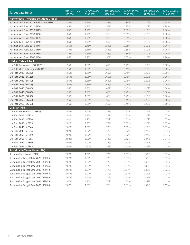| <b>Target date funds</b>                  | IMF (less than<br>\$50,000) | IMF (\$50,000-<br>\$100,000) | IMF (\$100,000-<br>\$250,000 | IMF (\$250,000-<br>\$500,000) | IMF (\$500,000-<br>\$1,000,000 | IMF (more than<br>\$1,000,000 |
|-------------------------------------------|-----------------------------|------------------------------|------------------------------|-------------------------------|--------------------------------|-------------------------------|
| Harmonized (Portfolio Solutions Group)    |                             |                              |                              |                               |                                |                               |
| Harmonized Fund 2015 Retirement (H15)**** | 1.85%                       | 1.75%                        | 1.55%                        | 1.35%                         | 1.10%                          | 0.90%                         |
| Harmonized Fund 2020 (H20)                | 1.85%                       | 1.75%                        | 1.55%                        | 1.35%                         | 1.10%                          | 0.90%                         |
| Harmonized Fund 2025 (H25)                | 1.85%                       | 1.75%                        | 1.55%                        | 1.35%                         | 1.10%                          | 0.90%                         |
| Harmonized Fund 2030 (H30)                | 1.85%                       | 1.75%                        | 1.55%                        | 1.35%                         | 1.10%                          | 0.90%                         |
| Harmonized Fund 2035 (H35)                | 1.85%                       | 1.75%                        | 1.55%                        | 1.35%                         | 1.10%                          | 0.90%                         |
| Harmonized Fund 2040 (H40)                | 1.85%                       | 1.75%                        | 1.55%                        | 1.35%                         | 1.10%                          | 0.90%                         |
| Harmonized Fund 2045 (H45)                | 1.85%                       | 1.75%                        | 1.55%                        | 1.35%                         | 1.10%                          | 0.90%                         |
| Harmonized Fund 2050 (H50)                | 1.85%                       | 1.75%                        | 1.55%                        | 1.35%                         | 1.10%                          | 0.90%                         |
| Harmonized Fund 2055 (H55)                | 1.85%                       | 1.75%                        | 1.55%                        | 1.35%                         | 1.10%                          | 0.90%                         |
| Harmonized Fund 2060 (H60)                | 1.85%                       | 1.75%                        | 1.55%                        | 1.35%                         | 1.10%                          | 0.90%                         |
| LifePath <sup>®</sup> (BlackRock)         |                             |                              |                              |                               |                                |                               |
| LifePath Retirement (BGIRT)****           | 1.95%                       | 1.85%                        | 1.65%                        | 1.45%                         | 1.20%                          | 1.00%                         |
| LifePath 2015 Retirement (BGI15)****      | 1.95%                       | 1.85%                        | 1.65%                        | 1.45%                         | 1.20%                          | 1.00%                         |
| LifePath 2020 (BGI20)                     | 1.95%                       | 1.85%                        | 1.65%                        | 1.45%                         | 1.20%                          | 1.00%                         |
| LifePath 2025 (BGI25)                     | 1.95%                       | 1.85%                        | 1.65%                        | 1.45%                         | 1.20%                          | 1.00%                         |
| LifePath 2030 (BGI30)                     | 1.95%                       | 1.85%                        | 1.65%                        | 1.45%                         | 1.20%                          | 1.00%                         |
| LifePath 2035 (BGI35)                     | 1.95%                       | 1.85%                        | 1.65%                        | 1.45%                         | 1.20%                          | 1.00%                         |
| LifePath 2040 (BGI40)                     | 1.95%                       | 1.85%                        | 1.65%                        | 1.45%                         | 1.20%                          | 1.00%                         |
| LifePath 2045 (BGI45)                     | 1.95%                       | 1.85%                        | 1.65%                        | 1.45%                         | 1.20%                          | 1.00%                         |
| LifePath 2050 (BGI50)                     | 1.95%                       | 1.85%                        | 1.65%                        | 1.45%                         | 1.20%                          | 1.00%                         |
| LifePath 2055 (BGI55)                     | 1.95%                       | 1.85%                        | 1.65%                        | 1.45%                         | 1.20%                          | 1.00%                         |
| LifePath 2060 (BGI60)                     | 1.95%                       | 1.85%                        | 1.65%                        | 1.45%                         | 1.20%                          | 1.00%                         |
| LifePlan (MFS)                            |                             |                              |                              |                               |                                |                               |
| LifePlan Retirement (MFSRT)               | 2.02%                       | 1.92%                        | 1.72%                        | 1.52%                         | 1.27%                          | 1.07%                         |
| LifePlan 2025 (MFS25)                     | 2.02%                       | 1.92%                        | 1.72%                        | 1.52%                         | 1.27%                          | 1.07%                         |
| LifePlan 2030 (MFS30)                     | 2.02%                       | 1.92%                        | 1.72%                        | 1.52%                         | 1.27%                          | 1.07%                         |
| LifePlan 2035 (MFS35)                     | 2.02%                       | 1.92%                        | 1.72%                        | 1.52%                         | 1.27%                          | 1.07%                         |
| LifePlan 2040 (MFS40)                     | 2.02%                       | 1.92%                        | 1.72%                        | 1.52%                         | 1.27%                          | 1.07%                         |
| LifePlan 2045 (MFS45)                     | 2.02%                       | 1.92%                        | 1.72%                        | 1.52%                         | 1.27%                          | 1.07%                         |
| LifePlan 2050 (MFS50)                     | 2.02%                       | 1.92%                        | 1.72%                        | 1.52%                         | 1.27%                          | 1.07%                         |
| LifePlan 2055 (MFS55)                     | 2.02%                       | 1.92%                        | 1.72%                        | 1.52%                         | 1.27%                          | 1.07%                         |
| LifePlan 2060 (MFS60)                     | 2.02%                       | 1.92%                        | 1.72%                        | 1.52%                         | 1.27%                          | 1.07%                         |
| LifePlan 2065 (MFS65)                     | 2.02%                       | 1.92%                        | 1.72%                        | 1.52%                         | 1.27%                          | 1.07%                         |
| <b>Sustainable Target Date (JPM)</b>      |                             |                              |                              |                               |                                |                               |
| Sustainable Income (JPMIN)                | 2.07%                       | 1.97%                        | 1.77%                        | 1.57%                         | 1.32%                          | 1.12%                         |
| Sustainable Target Date 2025 (JPM25)      | 2.07%                       | 1.97%                        | 1.77%                        | 1.57%                         | 1.32%                          | 1.12%                         |
| Sustainable Target Date 2030 (JPM30)      | 2.07%                       | 1.97%                        | 1.77%                        | 1.57%                         | 1.32%                          | 1.12%                         |
| Sustainable Target Date 2035 (JPM35)      | 2.07%                       | 1.97%                        | 1.77%                        | 1.57%                         | 1.32%                          | 1.12%                         |
| Sustainable Target Date 2040 (JPM40)      | 2.07%                       | 1.97%                        | 1.77%                        | 1.57%                         | 1.32%                          | 1.12%                         |
| Sustainable Target Date 2045 (JPM45)      | 2.07%                       | 1.97%                        | 1.77%                        | 1.57%                         | 1.32%                          | 1.12%                         |
| Sustainable Target Date 2050 (JPM50)      | 2.07%                       | 1.97%                        | 1.77%                        | 1.57%                         | 1.32%                          | 1.12%                         |
| Sustainable Target Date 2055 (JPM55)      | 2.07%                       | 1.97%                        | 1.77%                        | 1.57%                         | 1.32%                          | 1.12%                         |
| Sustainable Target Date 2060 (JPM60)      | 2.07%                       | 1.97%                        | 1.77%                        | 1.57%                         | 1.32%                          | 1.12%                         |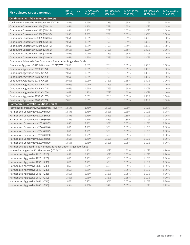| Risk-adjusted target date funds                                    | IMF (less than<br>\$50,000 | IMF (\$50,000-<br>\$100,000 | IMF (\$100,000-<br>\$250,000 | IMF (\$250,000-<br>\$500,000) | IMF (\$500,000-<br>\$1,000,000 | IMF (more than<br>\$1,000,000 |
|--------------------------------------------------------------------|----------------------------|-----------------------------|------------------------------|-------------------------------|--------------------------------|-------------------------------|
| <b>Continuum (Portfolio Solutions Group)</b>                       |                            |                             |                              |                               |                                |                               |
| Continuum Conservative 2015 Retirement (CNY15)****                 | 2.05%                      | 1.95%                       | 1.75%                        | 1.55%                         | 1.30%                          | 1.10%                         |
| Continuum Conservative 2020 (CNY20)                                | 2.05%                      | 1.95%                       | 1.75%                        | 1.55%                         | 1.30%                          | 1.10%                         |
| Continuum Conservative 2025 (CNY25)                                | 2.05%                      | 1.95%                       | 1.75%                        | 1.55%                         | 1.30%                          | 1.10%                         |
| Continuum Conservative 2030 (CNY30)                                | 2.05%                      | 1.95%                       | 1.75%                        | 1.55%                         | 1.30%                          | 1.10%                         |
| Continuum Conservative 2035 (CNY35)                                | 2.05%                      | 1.95%                       | 1.75%                        | 1.55%                         | 1.30%                          | 1.10%                         |
| Continuum Conservative 2040 (CNY40)                                | 2.05%                      | 1.95%                       | 1.75%                        | 1.55%                         | 1.30%                          | 1.10%                         |
| Continuum Conservative 2045 (CNY45)                                | 2.05%                      | 1.95%                       | 1.75%                        | 1.55%                         | 1.30%                          | 1.10%                         |
| Continuum Conservative 2050 (CNY50)                                | 2.05%                      | 1.95%                       | 1.75%                        | 1.55%                         | 1.30%                          | 1.10%                         |
| Continuum Conservative 2055 (CNY55)                                | 2.05%                      | 1.95%                       | 1.75%                        | 1.55%                         | 1.30%                          | 1.10%                         |
| Continuum Conservative 2060 (CNY60)                                | 2.05%                      | 1.95%                       | 1.75%                        | 1.55%                         | 1.30%                          | 1.10%                         |
| Continuum Balanced - See Continuum Funds under Target date funds   |                            |                             |                              |                               |                                |                               |
| Continuum Aggressive 2015 Retirement (CNZ15)****                   | 2.05%                      | 1.95%                       | 1.75%                        | 1.55%                         | 1.30%                          | 1.10%                         |
| Continuum Aggressive 2020 (CNZ20)                                  | 2.05%                      | 1.95%                       | 1.75%                        | 1.55%                         | 1.30%                          | 1.10%                         |
| Continuum Aggressive 2025 (CNZ25)                                  | 2.05%                      | 1.95%                       | 1.75%                        | 1.55%                         | 1.30%                          | 1.10%                         |
| Continuum Aggressive 2030 (CNZ30)                                  | 2.05%                      | 1.95%                       | 1.75%                        | 1.55%                         | 1.30%                          | 1.10%                         |
| Continuum Aggressive 2035 (CNZ35)                                  | 2.05%                      | 1.95%                       | 1.75%                        | 1.55%                         | 1.30%                          | 1.10%                         |
| Continuum Aggressive 2040 (CNZ40)                                  | 2.05%                      | 1.95%                       | 1.75%                        | 1.55%                         | 1.30%                          | 1.10%                         |
| Continuum Aggressive 2045 (CNZ45)                                  | 2.05%                      | 1.95%                       | 1.75%                        | 1.55%                         | 1.30%                          | 1.10%                         |
| Continuum Aggressive 2050 (CNZ50)                                  | 2.05%                      | 1.95%                       | 1.75%                        | 1.55%                         | 1.30%                          | 1.10%                         |
| Continuum Aggressive 2055 (CNZ55)                                  | 2.05%                      | 1.95%                       | 1.75%                        | 1.55%                         | 1.30%                          | 1.10%                         |
| Continuum Aggressive 2060 (CNZ60)                                  | 2.05%                      | 1.95%                       | 1.75%                        | 1.55%                         | 1.30%                          | 1.10%                         |
| Harmonized (Portfolio Solutions Group)                             |                            |                             |                              |                               |                                |                               |
| Harmonized Conservative 2015 Retirement (HY15)****                 | 1.85%                      | 1.75%                       | 1.55%                        | 1.35%                         | 1.10%                          | 0.90%                         |
| Harmonized Conservative 2020 (HY20)                                | 1.85%                      | 1.75%                       | 1.55%                        | 1.35%                         | 1.10%                          | 0.90%                         |
| Harmonized Conservative 2025 (HY25)                                | 1.85%                      | 1.75%                       | 1.55%                        | 1.35%                         | 1.10%                          | 0.90%                         |
| Harmonized Conservative 2030 (HY30)                                | 1.85%                      | 1.75%                       | 1.55%                        | 1.35%                         | 1.10%                          | 0.90%                         |
| Harmonized Conservative 2035 (HY35)                                | 1.85%                      | 1.75%                       | 1.55%                        | 1.35%                         | 1.10%                          | 0.90%                         |
| Harmonized Conservative 2040 (HY40)                                | 1.85%                      | 1.75%                       | 1.55%                        | 1.35%                         | 1.10%                          | 0.90%                         |
| Harmonized Conservative 2045 (HY45)                                | 1.85%                      | 1.75%                       | 1.55%                        | 1.35%                         | 1.10%                          | 0.90%                         |
| Harmonized Conservative 2050 (HY50)                                | 1.85%                      | 1.75%                       | 1.55%                        | 1.35%                         | 1.10%                          | 0.90%                         |
| Harmonized Conservative 2055 (HY55)                                | 1.85%                      | 1.75%                       | 1.55%                        | 1.35%                         | 1.10%                          | 0.90%                         |
| Harmonized Conservative 2060 (HY60)                                | 1.85%                      | 1.75%                       | 1.55%                        | 1.35%                         | 1.10%                          | 0.90%                         |
| Harmonized Balanced - See Harmonized Funds under Target date funds |                            |                             |                              |                               |                                |                               |
| Harmonized Aggressive 2015 Retirement (HZ15)****                   | 1.85%                      | 1.75%                       | 1.55%                        | 1.35%                         | 1.10%                          | 0.90%                         |
| Harmonized Aggressive 2020 (HZ20)                                  | 1.85%                      | 1.75%                       | 1.55%                        | 1.35%                         | 1.10%                          | 0.90%                         |
| Harmonized Aggressive 2025 (HZ25)                                  | 1.85%                      | 1.75%                       | 1.55%                        | 1.35%                         | 1.10%                          | 0.90%                         |
| Harmonized Aggressive 2030 (HZ30)                                  | 1.85%                      | 1.75%                       | 1.55%                        | 1.35%                         | 1.10%                          | $0.90\%$                      |
| Harmonized Aggressive 2035 (HZ35)                                  | 1.85%                      | 1.75%                       | 1.55%                        | 1.35%                         | 1.10%                          | 0.90%                         |
| Harmonized Aggressive 2040 (HZ40)                                  | 1.85%                      | 1.75%                       | 1.55%                        | 1.35%                         | 1.10%                          | 0.90%                         |
| Harmonized Aggressive 2045 (HZ45)                                  | 1.85%                      | 1.75%                       | 1.55%                        | 1.35%                         | 1.10%                          | 0.90%                         |
| Harmonized Aggressive 2050 (HZ50)                                  | 1.85%                      | 1.75%                       | 1.55%                        | 1.35%                         | 1.10%                          | 0.90%                         |
| Harmonized Aggressive 2055 (HZ55)                                  | 1.85%                      | 1.75%                       | 1.55%                        | 1.35%                         | 1.10%                          | $0.90\%$                      |
| Harmonized Aggressive 2060 (HZ60)                                  | 1.85%                      | 1.75%                       | 1.55%                        | 1.35%                         | 1.10%                          | 0.90%                         |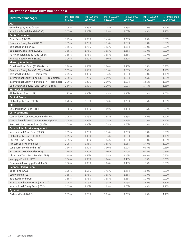| Market-based funds (Investment funds)           |                            |                             |                              |                               |                                |                               |
|-------------------------------------------------|----------------------------|-----------------------------|------------------------------|-------------------------------|--------------------------------|-------------------------------|
| Investment manager                              | IMF (less than<br>\$50,000 | IMF (\$50,000-<br>\$100,000 | IMF (\$100,000-<br>\$250,000 | IMF (\$250,000-<br>\$500,000) | IMF (\$500,000-<br>\$1,000,000 | IMF (more than<br>\$1,000,000 |
| <b>AGF</b>                                      |                            |                             |                              |                               |                                |                               |
| Growth Equity Fund (AGGE)                       | 2.05%                      | 1.95%                       | 1.75%                        | 1.55%                         | 1.30%                          | 1.10%                         |
| American Growth Fund (LAGAG)                    | 2.15%                      | 2.05%                       | 1.85%                        | 1.65%                         | 1.40%                          | 1.20%                         |
| <b>Beutel Goodman</b>                           |                            |                             |                              |                               |                                |                               |
| Bond Fund (LBOBG)                               | 1.75%                      | 1.65%                       | 1.45%                        | 1.25%                         | 1.00%                          | 0.80%                         |
| Canadian Equity Fund (LNABG)                    | 1.85%                      | 1.75%                       | 1.55%                        | 1.35%                         | 1.10%                          | 0.90%                         |
| Balanced Fund (LBABG)                           | 1.85%                      | 1.75%                       | 1.55%                        | 1.35%                         | 1.10%                          | 0.90%                         |
| <b>Balanced Global Fund (BALBG)</b>             | 1.85%                      | 1.75%                       | 1.55%                        | 1.35%                         | 1.10%                          | 0.90%                         |
| Pure Canadian Equity Fund (CEBG)                | 1.85%                      | 1.75%                       | 1.55%                        | 1.35%                         | 1.10%                          | 0.90%                         |
| American Equity Fund (S261)                     | 1.90%                      | 1.80%                       | 1.60%                        | 1.40%                         | 1.15%                          | 0.95%                         |
| <b>Bissett / Templeton</b>                      |                            |                             |                              |                               |                                |                               |
| Core Plus Bond Fund (S158) - Bissett            | 1.90%                      | 1.80%                       | 1.60%                        | 1.40%                         | 1.15%                          | 0.95%                         |
| Canadian Equity Fund (S103) - Bissett           | 2.05%                      | 1.95%                       | 1.75%                        | 1.55%                         | 1.30%                          | 1.10%                         |
| Balanced Fund (S104) - Templeton                | 2.05%                      | 1.95%                       | 1.75%                        | 1.55%                         | 1.30%                          | 1.10%                         |
| International Equity Fund (LIET)* - Templeton   | 2.30%                      | 2.20%                       | 2.00%                        | 1.80%                         | 1.55%                          | 1.35%                         |
| International Equity N Fund (LIETN) - Templeton | 2.30%                      | 2.20%                       | 2.00%                        | 1.80%                         | 1.55%                          | 1.35%                         |
| Cdn Small Cap Equity Fund (S105) - Bissett      | 2.50%                      | 2.40%                       | 2.20%                        | 2.00%                         | 1.75%                          | 1.55%                         |
| <b>Brandywine</b>                               |                            |                             |                              |                               |                                |                               |
| Global Bond Fund (LIBP)                         | 1.95%                      | 1.85%                       | 1.65%                        | 1.45%                         | 1.20%                          | 1.00%                         |
| <b>Capital Group</b>                            |                            |                             |                              |                               |                                |                               |
| Global Equity Fund (GECG)                       | 2.20%                      | 2.10%                       | 1.90%                        | 1.70%                         | 1.45%                          | 1.25%                         |
| <b>CIBC</b>                                     |                            |                             |                              |                               |                                |                               |
| Core Plus Bond Fund (CBR)                       | 1.90%                      | 1.80%                       | 1.60%                        | 1.40%                         | 1.15%                          | 0.95%                         |
| <b>CI Investments</b>                           |                            |                             |                              |                               |                                |                               |
| Cambridge Asset Allocation Fund (CAACI)         | 2.15%                      | 2.05%                       | 1.85%                        | 1.65%                         | 1.40%                          | 1.20%                         |
| Cambridge All Canadian Equity Fund (TRCE)       | 2.05%                      | 1.95%                       | 1.75%                        | 1.55%                         | 1.30%                          | 1.10%                         |
| Sentry Global Income Fund (AGGI)                | 2.05%                      | 1.95%                       | 1.75%                        | 1.55%                         | 1.30%                          | 1.10%                         |
| Canada Life Asset Management                    |                            |                             |                              |                               |                                |                               |
| International Bond Fund (S036)                  | 1.85%                      | 1.75%                       | 1.55%                        | 1.35%                         | 1.10%                          | 0.90%                         |
| Global Equity Fund (GLEOC)                      | 2.05%                      | 1.95%                       | 1.75%                        | 1.55%                         | 1.30%                          | 1.10%                         |
| Far East Fund (LSGAG)                           | 2.15%                      | 2.05%                       | 1.85%                        | 1.65%                         | 1.40%                          | 1.20%                         |
| Far East Equity Fund (S038)****                 | 2.15%                      | 2.05%                       | 1.85%                        | 1.65%                         | 1.40%                          | 1.20%                         |
| Long-Term Bond Fund (LTBL)                      | 1.60%                      | 1.50%                       | 1.30%                        | 1.10%                         | 0.85%                          | 0.65%                         |
| Real Return Bond Fund (RRBP)                    | 1.60%                      | 1.50%                       | 1.30%                        | 1.10%                         | 0.85%                          | 0.65%                         |
| Ultra Long Term Bond Fund (ULTBP)               | 1.65%                      | 1.55%                       | 1.35%                        | 1.15%                         | 0.90%                          | 0.70%                         |
| Mortgage Fund (LLMRT)                           | 1.90%                      | 1.80%                       | 1.60%                        | 1.40%                         | 1.15%                          | 0.95%                         |
| Commercial Mortgage Fund (LMG)                  | 1.90%                      | 1.80%                       | 1.60%                        | 1.40%                         | 1.15%                          | 0.95%                         |
| Connor, Clark & Lunn                            |                            |                             |                              |                               |                                |                               |
| Bond Fund (CCLB)                                | 1.75%                      | 1.65%                       | 1.45%                        | 1.25%                         | 1.00%                          | 0.80%                         |
| Equity Fund (PCE)                               | 1.85%                      | 1.75%                       | 1.55%                        | 1.35%                         | 1.10%                          | 0.90%                         |
| Balanced Fund (PCB)                             | 1.85%                      | 1.75%                       | 1.55%                        | 1.35%                         | 1.10%                          | 0.90%                         |
| International Equity Fund (CCLI)****            | 2.25%                      | 2.15%                       | 1.95%                        | 1.75%                         | 1.50%                          | 1.30%                         |
| International Equity Fund (IESR)                | 2.15%                      | 2.05%                       | 1.85%                        | 1.65%                         | 1.40%                          | 1.20%                         |
| <b>Dynamic</b>                                  |                            |                             |                              |                               |                                |                               |
| Partners Fund (DYPF)                            | 2.35%                      | 2.25%                       | 2.05%                        | 1.85%                         | 1.60%                          | 1.40%                         |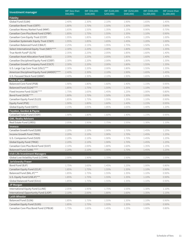| <b>Investment manager</b>                                                   | IMF (less than<br>\$50,000 | IMF (\$50,000-<br>\$100,000 | IMF (\$100,000-<br>\$250,000 | IMF (\$250,000-<br>\$500,000) | IMF (\$500,000-<br>\$1,000,000 | IMF (more than<br>\$1,000,000 |
|-----------------------------------------------------------------------------|----------------------------|-----------------------------|------------------------------|-------------------------------|--------------------------------|-------------------------------|
| Fidelity                                                                    |                            |                             |                              |                               |                                |                               |
| Global Fund (S184)                                                          | 2.40%                      | 2.30%                       | 2.10%                        | 1.90%                         | 1.65%                          | 1.45%                         |
| Canadian Bond Trust (CBTF)                                                  | 1.80%                      | 1.70%                       | 1.50%                        | 1.30%                         | 1.05%                          | 0.85%                         |
| Canadian Money Market Fund (MMF)                                            | 1.65%                      | 1.55%                       | 1.35%                        | 1.15%                         | 0.90%                          | 0.70%                         |
| Canadian Core Plus Bond Fund (CPBF)                                         | 1.85%                      | 1.75%                       | 1.55%                        | 1.35%                         | 1.10%                          | 0.90%                         |
| Canadian Core Equity Trust (CCEF)                                           | 1.95%                      | 1.85%                       | 1.65%                        | 1.45%                         | 1.20%                          | 1.00%                         |
| Canadian Systematic Equity Trust (CSEF)                                     | 1.95%                      | 1.85%                       | 1.65%                        | 1.45%                         | 1.20%                          | 1.00%                         |
| Canadian Balanced Fund (CBALF)                                              | 2.25%                      | 2.15%                       | 1.95%                        | 1.75%                         | 1.50%                          | 1.30%                         |
| Select International Equity Trust (SIEF)****                                | 2.30%                      | 2.20%                       | 2.00%                        | 1.80%                         | 1.55%                          | 1.35%                         |
| True North Fund® (S176)                                                     | 2.35%                      | 2.25%                       | 2.05%                        | 1.85%                         | 1.60%                          | 1.40%                         |
| Canadian Asset Allocation Fund (S191)                                       | 2.35%                      | 2.25%                       | 2.05%                        | 1.85%                         | 1.60%                          | 1.40%                         |
| Canadian Disciplined Equity Fund (CDEF)                                     | 2.30%                      | 2.20%                       | 2.00%                        | 1.80%                         | 1.55%                          | 1.35%                         |
| Canadian Growth Company Fund (CGCF)                                         | 2.30%                      | 2.20%                       | 2.00%                        | 1.80%                         | 1.55%                          | 1.35%                         |
| U.S. Large Cap Core Trust (USLC)***                                         | 2.30%                      | 2.20%                       | 2.00%                        | 1.80%                         | 1.55%                          | 1.35%                         |
| American Disciplined Equity Fund (AMDEF)****                                | 2.40%                      | 2.30%                       | 2.10%                        | 1.90%                         | 1.65%                          | 1.45%                         |
| U.S. Focused Stock Fund (GRAF)                                              | 2.40%                      | 2.30%                       | 2.10%                        | 1.90%                         | 1.65%                          | 1.45%                         |
| <b>Fiera Capital</b>                                                        |                            |                             |                              |                               |                                |                               |
| Balanced Core Fund (PSB)                                                    | 1.90%                      | 1.80%                       | 1.60%                        | 1.40%                         | 1.15%                          | 0.95%                         |
| Balanced Fund (S124)****                                                    | 1.85%                      | 1.75%                       | 1.55%                        | 1.35%                         | 1.10%                          | 0.90%                         |
| Fixed Income Fund (S228)****                                                | 1.75%                      | 1.65%                       | 1.45%                        | 1.25%                         | 1.00%                          | 0.80%                         |
| Bond Fund (SICB)****                                                        | 1.80%                      | 1.70%                       | 1.50%                        | 1.30%                         | 1.05%                          | 0.85%                         |
| Canadian Equity Fund (S123)                                                 | 1.85%                      | 1.75%                       | 1.55%                        | 1.35%                         | 1.10%                          | 0.90%                         |
| Equity Fund (PSE)                                                           | 1.90%                      | 1.80%                       | 1.60%                        | 1.40%                         | 1.15%                          | 0.95%                         |
| Global Equity Fund (GEFC)                                                   | 2.15%                      | 2.05%                       | 1.85%                        | 1.65%                         | 1.40%                          | 1.20%                         |
| Foyston, Gordon & Payne                                                     |                            |                             |                              |                               |                                |                               |
| Canadian Value Fund (CVDY)                                                  | 1.90%                      | 1.80%                       | 1.60%                        | 1.40%                         | 1.15%                          | 0.95%                         |
| <b>GWL Realty Advisors</b>                                                  |                            |                             |                              |                               |                                |                               |
| Real Estate Fund (LREG)                                                     | 2.05%                      | 1.95%                       | 1.75%                        | 1.55%                         | 1.30%                          | 1.10%                         |
| Invesco                                                                     |                            |                             |                              |                               |                                |                               |
| Canadian Growth Fund (S289)                                                 | 2.20%                      | 2.10%                       | 1.90%                        | 1.70%                         | 1.45%                          | 1.25%                         |
| Income Growth Fund (TRIG)                                                   | 2.20%                      | 2.10%                       | 1.90%                        | 1.70%                         | 1.45%                          | 1.25%                         |
| U.S. Companies Fund (S329)                                                  | 2.20%                      | 2.10%                       | 1.90%                        | 1.70%                         | 1.45%                          | 1.25%                         |
| <b>Global Equity Fund (TRGE)</b>                                            | 2.20%                      | 2.10%                       | 1.90%                        | 1.70%                         | 1.45%                          | 1.25%                         |
| Canadian Core Plus Bond Fund (S337)                                         | 2.10%                      | 2.00%                       | 1.80%                        | 1.60%                         | 1.35%                          | 1.15%                         |
| Balanced Fund (S288) ****                                                   | 2.20%                      | 2.10%                       | 1.90%                        | 1.70%                         | 1.45%                          | 1.25%                         |
| <b>Irish Life Investment Managers</b><br>Global Low Volatility Fund (LCOMK) | 2.00%                      | 1.90%                       | 1.70%                        | 1.50%                         | 1.25%                          | 1.05%                         |
| Jarislowsky Fraser                                                          |                            |                             |                              |                               |                                |                               |
| Bond Fund (BJF)                                                             | 1.75%                      | 1.65%                       | 1.45%                        | 1.25%                         | 1.00%                          | 0.80%                         |
| Canadian Equity Fund (CEJF)                                                 | 1.85%                      | 1.75%                       | 1.55%                        | 1.35%                         | 1.10%                          | 0.90%                         |
| Balanced Fund (BALJF)***                                                    | 1.85%                      | 1.75%                       | 1.55%                        | 1.35%                         | 1.10%                          | 0.90%                         |
| U.S. Equity Fund (USEJF)***                                                 | 1.85%                      | 1.75%                       | 1.55%                        | 1.35%                         | 1.10%                          | 0.90%                         |
| Global Balanced Fund (S311)                                                 | 1.85%                      | 1.75%                       | 1.55%                        | 1.35%                         | 1.10%                          | 0.90%                         |
| JP Morgan                                                                   |                            |                             |                              |                               |                                |                               |
| International Equity Fund (LLINE)                                           | 2.05%                      | 1.95%                       | 1.75%                        | 1.55%                         | 1.30%                          | 1.10%                         |
| International Opportunity Fund (LIOP)                                       | 2.10%                      | 2.00%                       | 1.80%                        | 1.60%                         | 1.35%                          | 1.15%                         |
| Leith Wheeler                                                               |                            |                             |                              |                               |                                |                               |
| Balanced Fund (S196)                                                        | 1.85%                      | 1.75%                       | 1.55%                        | 1.35%                         | 1.10%                          | 0.90%                         |
| Canadian Equity Fund (S195)                                                 | 1.85%                      | 1.75%                       | 1.55%                        | 1.35%                         | 1.10%                          | 0.90%                         |
| Canadian Core Plus Bond Fund (CPBLW)                                        | 1.75%                      | 1.65%                       | 1.45%                        | 1.25%                         | 1.00%                          | $0.80\%$                      |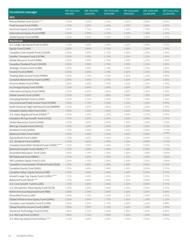| Investment manager                             | IMF (less than<br>\$50,000) | IMF (\$50,000-<br>\$100,000 | IMF (\$100,000-<br>\$250,000) | IMF (\$250,000-<br>\$500,000) | IMF (\$500,000-<br>\$1,000,000 | IMF (more than<br>\$1,000,000 |
|------------------------------------------------|-----------------------------|-----------------------------|-------------------------------|-------------------------------|--------------------------------|-------------------------------|
| <b>MFS</b>                                     |                             |                             |                               |                               |                                |                               |
| Money Market Fund (S143)****                   | 1.55%                       | 1.45%                       | 1.25%                         | 1.05%                         | 0.80%                          | 0.60%                         |
| Fixed Income Fund (FIMB)                       | 1.75%                       | 1.65%                       | 1.45%                         | 1.25%                         | 1.00%                          | 0.80%                         |
| American Equity Fund (AEMB)                    | 1.85%                       | 1.75%                       | 1.55%                         | 1.35%                         | 1.10%                          | 0.90%                         |
| International Equity Fund (IEMB)               | 2.05%                       | 1.95%                       | 1.75%                         | 1.55%                         | 1.30%                          | 1.10%                         |
| Global Equity Fund (GEMB)                      | 2.05%                       | 1.95%                       | 1.75%                         | 1.55%                         | 1.30%                          | 1.10%                         |
| Mackenzie                                      |                             |                             |                               |                               |                                |                               |
| U.S. Large Cap Equity Fund (LUSEG)             | 1.70%                       | 1.60%                       | 1.40%                         | 1.20%                         | 0.95%                          | 0.75%                         |
| Equity Fund (LEMK)                             | 2.00%                       | 1.90%                       | 1.70%                         | 1.50%                         | 1.25%                          | 1.05%                         |
| Canadian Core Growth Fund (LCEGM)              | 2.00%                       | 1.90%                       | 1.70%                         | 1.50%                         | 1.25%                          | 1.05%                         |
| Smaller Company Fund (LSCMK)                   | 2.00%                       | 1.90%                       | 1.70%                         | 1.50%                         | 1.25%                          | 1.05%                         |
| Global Resource Fund (LNRM)                    | 2.00%                       | 1.90%                       | 1.70%                         | 1.50%                         | 1.25%                          | 1.05%                         |
| Canadian Dividend Fund (LDVDM)                 | 2.00%                       | 1.90%                       | 1.70%                         | 1.50%                         | 1.25%                          | 1.05%                         |
| Strategic Income Fund (LCBM)                   | 2.00%                       | 1.90%                       | 1.70%                         | 1.50%                         | 1.25%                          | 1.05%                         |
| Income Fund (LINMK)                            | 2.00%                       | 1.90%                       | 1.70%                         | 1.50%                         | 1.25%                          | 1.05%                         |
| Floating Rate Income Fund (FRIMK)              | 1.85%                       | 1.75%                       | 1.55%                         | 1.35%                         | 1.10%                          | 0.90%                         |
| Canadian Balanced Ivy Fund (LGIMK)             | 2.00%                       | 1.90%                       | 1.70%                         | 1.50%                         | 1.25%                          | 1.05%                         |
| Precious Metals Fund (LPMM)                    | 2.00%                       | 1.90%                       | 1.70%                         | 1.50%                         | 1.25%                          | 1.05%                         |
| Ivy Foreign Equity Fund (FEMK)                 | 2.10%                       | 2.00%                       | 1.80%                         | 1.60%                         | 1.35%                          | 1.15%                         |
| International Equity Fund (ISMK)               | 2.10%                       | 2.00%                       | 1.80%                         | 1.60%                         | 1.35%                          | 1.15%                         |
| Global Growth Fund (LGEM)                      | 2.10%                       | 2.00%                       | 1.80%                         | 1.60%                         | 1.35%                          | 1.15%                         |
| <b>Emerging Markets Fund (LLEMS)</b>           | 2.25%                       | 2.15%                       | 1.95%                         | 1.75%                         | 1.50%                          | 1.30%                         |
| Unconstrained Fixed Income Fund (UFIMK)        | 1.85%                       | 1.75%                       | 1.55%                         | 1.35%                         | 1.10%                          | 0.90%                         |
| North American High Yield Bond Fund (NABMK)    | 1.95%                       | 1.85%                       | 1.65%                         | 1.45%                         | 1.20%                          | 1.00%                         |
| Canadian Equity Index Fund (LEIG)              | 1.50%                       | 1.40%                       | 1.20%                         | 1.00%                         | 0.75%                          | 0.55%                         |
| U.S. Index Registered Fund (USIXG)***          | 1.50%                       | 1.40%                       | 1.20%                         | 1.00%                         | 0.75%                          | 0.55%                         |
| Canadian All Cap Growth Fund (LCEG)            | 1.70%                       | 1.60%                       | 1.40%                         | 1.20%                         | 0.95%                          | 0.75%                         |
| Global Resources Fund (LCRAG)                  | 1.95%                       | 1.85%                       | 1.65%                         | 1.45%                         | 1.20%                          | 1.00%                         |
| Mid Cap Canada Fund (LMCCG)                    | 1.70%                       | 1.60%                       | 1.40%                         | 1.20%                         | 0.95%                          | 0.75%                         |
| Dividend Fund (LDVDG)                          | 1.70%                       | 1.60%                       | 1.40%                         | 1.20%                         | 0.95%                          | 0.75%                         |
| Balanced Index Fund (LBIG)                     | 1.55%                       | 1.45%                       | 1.25%                         | 1.05%                         | 0.80%                          | 0.60%                         |
| Equity/Bond Fund (LEBG)                        | 1.70%                       | 1.60%                       | 1.40%                         | 1.20%                         | 0.95%                          | 0.75%                         |
| U.S. Dividend Fund (USDVG)                     | 1.70%                       | 1.60%                       | 1.40%                         | 1.20%                         | 0.95%                          | 0.75%                         |
| Canadian Diversified Dividend Fund (LDVDL)**** | 1.70%                       | 1.60%                       | 1.40%                         | 1.20%                         | 0.95%                          | 0.75%                         |
| Balanced Growth Fund (LBGRL)****               | 1.70%                       | 1.60%                       | 1.40%                         | 1.20%                         | 0.95%                          | 0.75%                         |
| Diversified Allocation Fund (LDG)              | 1.80%                       | 1.70%                       | 1.50%                         | 1.30%                         | 1.05%                          | 0.85%                         |
| SRI Balanced Fund (SRBAL)                      | 1.75%                       | 1.65%                       | 1.45%                         | 1.25%                         | 1.00%                          | 0.80%                         |
| SRI Canadian Equity Fund (LLEG)                | 1.80%                       | 1.70%                       | 1.50%                         | 1.30%                         | 1.05%                          | 0.85%                         |
| Canadian Concentrated Dividend Fund (S039)     | 1.70%                       | 1.60%                       | 1.40%                         | 1.20%                         | 0.95%                          | 0.75%                         |
| Canadian Equity Fund (S002)                    | 1.70%                       | 1.60%                       | 1.40%                         | 1.20%                         | 0.95%                          | 0.75%                         |
| Canadian Value Equity Fund (LLCNE)             | 1.70%                       | 1.60%                       | 1.40%                         | 1.20%                         | 0.95%                          | 0.75%                         |
| Growth Large Cap Equity Fund (LGREL)****       | 1.70%                       | 1.60%                       | 1.40%                         | 1.20%                         | 0.95%                          | 0.75%                         |
| Balanced Fund (S014)****                       | 1.70%                       | 1.60%                       | 1.40%                         | 1.20%                         | 0.95%                          | 0.75%                         |
| U.S. Core Growth Fund (LLUSE)                  | 1.70%                       | 1.60%                       | 1.40%                         | 1.20%                         | 0.95%                          | 0.75%                         |
| U.S. Disciplined Value Equity Fund (S178)      | 1.70%                       | 1.60%                       | 1.40%                         | 1.20%                         | 0.95%                          | 0.75%                         |
| North American Balanced Fund (PBA)             | 1.80%                       | 1.70%                       | 1.50%                         | 1.30%                         | 1.05%                          | 0.85%                         |
| Diversified Fund (LLDIV)                       | 1.80%                       | 1.70%                       | 1.50%                         | 1.30%                         | 1.05%                          | 0.85%                         |
| Global Infrastructure Equity Fund (GINFL)      | 2.05%                       | 1.95%                       | 1.75%                         | 1.55%                         | 1.30%                          | 1.10%                         |
| Canadian Low Volatility Fund (LLCMK)           | 2.00%                       | 1.90%                       | 1.70%                         | 1.50%                         | 1.25%                          | 1.05%                         |
| Global Monthly Income Fund (LBMK)              | 2.00%                       | 1.90%                       | 1.70%                         | 1.50%                         | 1.25%                          | 1.05%                         |
| Science & Technology Fund (LLSTG)              | 1.80%                       | 1.70%                       | 1.50%                         | 1.30%                         | 1.05%                          | 0.85%                         |
| U.S. Mid Cap Fund (LLMCG)                      | 1.80%                       | 1.70%                       | 1.50%                         | 1.30%                         | 1.05%                          | 0.85%                         |
| U.S. Mid Cap Equity Fund (USGSL)****           | 1.70%                       | 1.60%                       | 1.40%                         | 1.20%                         | 0.95%                          | 0.75%                         |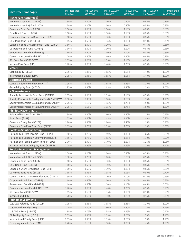| Investment manager                                 | IMF (less than<br>550,000 | IMF (\$50,000-<br>\$100,000 | IMF (\$100,000-<br>\$250,000 | IMF (\$250,000-<br>\$500,000) | IMF (\$500,000-<br>\$1,000,000 | IMF (more than<br>\$1,000,000 |
|----------------------------------------------------|---------------------------|-----------------------------|------------------------------|-------------------------------|--------------------------------|-------------------------------|
| Mackenzie (continued)                              |                           |                             |                              |                               |                                |                               |
| Money Market Fund (LLMON)                          | 1.30%                     | 1.20%                       | 1.00%                        | 0.80%                         | 0.55%                          | 0.35%                         |
| Money Market (LK) Fund (S029)                      | 1.30%                     | 1.20%                       | 1.00%                        | 0.80%                         | 0.55%                          | 0.35%                         |
| Canadian Bond Fund (LCBG)                          | 1.60%                     | 1.50%                       | 1.30%                        | 1.10%                         | 0.85%                          | 0.65%                         |
| Core Bond Fund (LLBON)                             | 1.60%                     | 1.50%                       | 1.30%                        | 1.10%                         | 0.85%                          | 0.65%                         |
| Canadian Short Term Bond Fund (STBP)               | 1.60%                     | 1.50%                       | 1.30%                        | 1.10%                         | 0.85%                          | 0.65%                         |
| Core Plus Bond Fund (S019)                         | 1.65%                     | 1.55%                       | 1.35%                        | 1.15%                         | 0.90%                          | 0.70%                         |
| Canadian Bond Universe Index Fund (LCBIL)          | 1.50%                     | 1.40%                       | 1.20%                        | 1.00%                         | 0.75%                          | 0.55%                         |
| Corporate Bond Fund (CORBP)                        | 1.60%                     | 1.50%                       | 1.30%                        | 1.10%                         | 0.85%                          | 0.65%                         |
| Government Bond Fund (LGBG)                        | 1.60%                     | 1.50%                       | 1.30%                        | 1.10%                         | 0.85%                          | 0.65%                         |
| Canadian Income Fund (LINCL)****                   | 1.70%                     | 1.60%                       | 1.40%                        | 1.20%                         | 0.95%                          | 0.75%                         |
| SRI Bond Fund (SRBP)****                           | 1.65%                     | 1.55%                       | 1.35%                        | 1.15%                         | 0.90%                          | 0.70%                         |
| Income Plus Fund (LIG)                             | 1.70%                     | 1.60%                       | 1.40%                        | 1.20%                         | 0.95%                          | 0.75%                         |
| Mawer                                              |                           |                             |                              |                               |                                |                               |
| Global Equity (GEMA)                               | 2.15%                     | 2.05%                       | 1.85%                        | 1.65%                         | 1.40%                          | 1.20%                         |
| International Equity (IEMA)                        | 2.15%                     | 2.05%                       | 1.85%                        | 1.65%                         | 1.40%                          | 1.20%                         |
| <b>Montrusco Bolton</b>                            |                           |                             |                              |                               |                                |                               |
| Canadian Equity Fund (LCEMO)****                   | 1.95%                     | 1.85%                       | 1.65%                        | 1.45%                         | 1.20%                          | 1.00%                         |
| Growth Equity Fund (MTGE)                          | 1.95%                     | 1.85%                       | 1.65%                        | 1.45%                         | 1.20%                          | 1.00%                         |
| <b>NEI Investments</b>                             |                           |                             |                              |                               |                                |                               |
| Socially Responsible Bond Fund (CBMER)             | 1.65%                     | 1.55%                       | 1.35%                        | 1.15%                         | 0.90%                          | 0.70%                         |
| Socially Responsible Cdn Equity Fund (JSMER)****   | 2.10%                     | 2.00%                       | 1.80%                        | 1.60%                         | 1.35%                          | 1.15%                         |
| Socially Responsible U.S. Equity Fund (USMER)****  | 2.25%                     | 2.15%                       | 1.95%                        | 1.75%                         | 1.50%                          | 1.30%                         |
| Socially Responsible Int'l Equity Fund (IEMER)**** | 2.25%                     | 2.15%                       | 1.95%                        | 1.75%                         | 1.50%                          | 1.30%                         |
| Phillips, Hager & North                            |                           |                             |                              |                               |                                |                               |
| <b>Balanced Pension Trust (S147)</b>               | 1.90%                     | 1.80%                       | 1.60%                        | 1.40%                         | 1.15%                          | 0.95%                         |
| Bond Fund (S149)                                   | 1.75%                     | 1.65%                       | 1.45%                        | 1.25%                         | 1.00%                          | 0.80%                         |
| Canadian Equity Fund (S269)                        | 1.90%                     | 1.80%                       | 1.60%                        | 1.40%                         | 1.15%                          | 0.95%                         |
| Canadian Core Plus Bond Fund (CPBPH)               | 1.85%                     | 1.75%                       | 1.55%                        | 1.35%                         | 1.10%                          | 0.90%                         |
| <b>Portfolio Solutions Group</b>                   |                           |                             |                              |                               |                                |                               |
| Harmonized Fixed Income Fund (HFIPS)               | 1.80%                     | 1.70%                       | 1.50%                        | 1.30%                         | 1.05%                          | 0.85%                         |
| Harmonized Canadian Equity Fund (HCEPS)            | 1.85%                     | 1.75%                       | 1.55%                        | 1.35%                         | 1.10%                          | 0.90%                         |
| Harmonized Foreign Equity Fund (HFEPS)             | 2.00%                     | 1.90%                       | 1.70%                        | 1.50%                         | 1.25%                          | 1.05%                         |
| Harmonized Special Equity Fund (HSEPS)             | 2.05%                     | 1.95%                       | 1.75%                        | 1.55%                         | 1.30%                          | 1.10%                         |
| <b>Portico Investment Management</b>               |                           |                             |                              |                               |                                |                               |
| Money Market Fund (LLMON)                          | 1.30%                     | 1.20%                       | 1.00%                        | 0.80%                         | 0.55%                          | 0.35%                         |
| Money Market (LK) Fund (S029)                      | 1.30%                     | 1.20%                       | 1.00%                        | 0.80%                         | 0.55%                          | 0.35%                         |
| Canadian Bond Fund (LCBG)                          | 1.60%                     | 1.50%                       | 1.30%                        | 1.10%                         | 0.85%                          | 0.65%                         |
| Core Bond Fund (LLBON)                             | 1.60%                     | 1.50%                       | 1.30%                        | 1.10%                         | 0.85%                          | 0.65%                         |
| Canadian Short Term Bond Fund (STBP)               | 1.60%                     | 1.50%                       | 1.30%                        | 1.10%                         | 0.85%                          | 0.65%                         |
| Core Plus Bond Fund (S019)                         | 1.65%                     | 1.55%                       | 1.35%                        | 1.15%                         | 0.90%                          | 0.70%                         |
| Canadian Bond Universe Index Fund (LCBIL)          | 1.50%                     | 1.40%                       | 1.20%                        | 1.00%                         | 0.75%                          | 0.55%                         |
| Corporate Bond Fund (CORBP)                        | 1.60%                     | 1.50%                       | 1.30%                        | 1.10%                         | 0.85%                          | 0.65%                         |
| Government Bond Fund (LGBG)                        | 1.60%                     | 1.50%                       | 1.30%                        | 1.10%                         | 0.85%                          | 0.65%                         |
| Canadian Income Fund (LINCL)****                   | 1.70%                     | 1.60%                       | 1.40%                        | 1.20%                         | 0.95%                          | 0.75%                         |
| SRI Bond Fund (SRBP)****                           | 1.65%                     | 1.55%                       | 1.35%                        | 1.15%                         | 0.90%                          | 0.70%                         |
| Income Fund (LIG)                                  | 1.70%                     | 1.60%                       | 1.40%                        | 1.20%                         | 0.95%                          | 0.75%                         |
| <b>Putnam Investments</b>                          |                           |                             |                              |                               |                                |                               |
| U.S. Low Volatility Fund (USLVP)                   | 1.95%                     | 1.85%                       | 1.65%                        | 1.45%                         | 1.20%                          | 1.00%                         |
| U.S. Growth Fund (LAEM)                            | 2.10%                     | 2.00%                       | 1.80%                        | 1.60%                         | 1.35%                          | 1.15%                         |
| U.S. Value Fund (USVEP)                            | 1.85%                     | 1.75%                       | 1.55%                        | 1.35%                         | 1.10%                          | 0.90%                         |
| Global Equity Fund (LGEL)                          | 2.05%                     | 1.95%                       | 1.75%                        | 1.55%                         | 1.30%                          | 1.10%                         |
| International Equity Fund (LIEP)                   | 2.05%                     | 1.95%                       | 1.75%                        | 1.55%                         | 1.30%                          | 1.10%                         |
| Emerging Markets Fund (EMP)                        | 2.20%                     | 2.10%                       | 1.90%                        | 1.70%                         | 1.45%                          | 1.25%                         |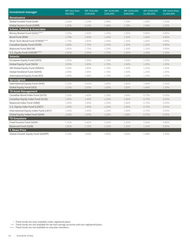| <b>Investment manager</b>               | IMF (less than<br>\$50,000 | IMF (\$50,000-<br>\$100,000 | IMF (\$100,000-<br>\$250,000 | IMF (\$250,000-<br>\$500,000) | IMF (\$500,000-<br>\$1,000,000 | IMF (more than<br>\$1,000,000 |
|-----------------------------------------|----------------------------|-----------------------------|------------------------------|-------------------------------|--------------------------------|-------------------------------|
| Renaissance                             |                            |                             |                              |                               |                                |                               |
| Global Growth Fund (GGR)                | 2.20%                      | 2.10%                       | 1.90%                        | 1.70%                         | 1.45%                          | 1.25%                         |
| Global Sectors Fund (GSRR)              | 2.20%                      | 2.10%                       | 1.90%                        | 1.70%                         | 1.45%                          | 1.25%                         |
| <b>Scheer, Rowlett &amp; Associates</b> |                            |                             |                              |                               |                                |                               |
| Money Market Fund (S201)****            | 1.55%                      | 1.45%                       | 1.25%                        | 1.05%                         | 0.80%                          | 0.60%                         |
| Bond Fund (BSR)                         | 1.75%                      | 1.65%                       | 1.45%                        | 1.25%                         | 1.00%                          | 0.80%                         |
| Short Term Bond Fund (STBSR)****        | 1.75%                      | 1.65%                       | 1.45%                        | 1.25%                         | 1.00%                          | 0.80%                         |
| Canadian Equity Fund (CESR)             | 1.85%                      | 1.75%                       | 1.55%                        | 1.35%                         | 1.10%                          | 0.90%                         |
| Balanced Fund (BALSR)                   | 1.85%                      | 1.75%                       | 1.55%                        | 1.35%                         | 1.10%                          | 0.90%                         |
| U.S. Equity Fund (USESR)****            | 2.05%                      | 1.95%                       | 1.75%                        | 1.55%                         | 1.30%                          | 1.10%                         |
| Setanta                                 |                            |                             |                              |                               |                                |                               |
| European Equity Fund (LEES)             | 2.00%                      | 1.90%                       | 1.70%                        | 1.50%                         | 1.25%                          | 1.05%                         |
| Global Equity Fund (S034)               | 2.00%                      | 1.90%                       | 1.70%                        | 1.50%                         | 1.25%                          | 1.05%                         |
| SRI Global Equity Fund (SRGES)          | 2.00%                      | 1.90%                       | 1.70%                        | 1.50%                         | 1.25%                          | 1.05%                         |
| Global Dividend Fund (GDIVS)            | 2.00%                      | 1.90%                       | 1.70%                        | 1.50%                         | 1.25%                          | 1.05%                         |
| International Equity Fund (IES)         | 2.00%                      | 1.90%                       | 1.70%                        | 1.50%                         | 1.25%                          | 1.05%                         |
| Sprucegrove                             |                            |                             |                              |                               |                                |                               |
| International Equity Fund (SPIE)        | 2.15%                      | 2.05%                       | 1.85%                        | 1.65%                         | 1.40%                          | 1.20%                         |
| <b>Global Equity Fund (GES)</b>         | 2.15%                      | 2.05%                       | 1.85%                        | 1.65%                         | 1.40%                          | 1.20%                         |
| <b>TD Asset Management</b>              |                            |                             |                              |                               |                                |                               |
| Canadian Bond Index Fund (S079)         | 1.50%                      | 1.40%                       | 1.20%                        | 1.00%                         | 0.75%                          | 0.55%                         |
| Canadian Equity Index Fund (S120)       | 1.50%                      | 1.40%                       | 1.20%                        | 1.00%                         | 0.75%                          | 0.55%                         |
| Balanced Index Fund (S080)              | 1.50%                      | 1.40%                       | 1.20%                        | 1.00%                         | 0.75%                          | 0.55%                         |
| U.S. Equity Index Fund (LUSET)          | 1.50%                      | 1.40%                       | 1.20%                        | 1.00%                         | 0.75%                          | 0.55%                         |
| International Equity Index Fund (LIEIT) | 1.50%                      | 1.40%                       | 1.20%                        | 1.00%                         | 0.75%                          | 0.55%                         |
| Global Equity Index Fund (S244)         | 1.50%                      | 1.40%                       | 1.20%                        | 1.00%                         | 0.75%                          | 0.55%                         |
| <b>TD Greystone</b>                     |                            |                             |                              |                               |                                |                               |
| Fixed Income Fund (S209)                | 1.75%                      | 1.65%                       | 1.45%                        | 1.25%                         | 1.00%                          | 0.80%                         |
| Balanced Fund (S208)                    | 1.85%                      | 1.75%                       | 1.55%                        | 1.35%                         | 1.10%                          | 0.90%                         |
| <b>T. Rowe Price</b>                    |                            |                             |                              |                               |                                |                               |
| Global Growth Equity Fund (GGERP)       | 2.15%                      | 2.05%                       | 1.85%                        | 1.65%                         | 1.40%                          | 1.20%                         |

\* These funds are only available under registered plans.

\*\*\* These funds are not available for tax-free savings accounts and non-registered plans.

\*\*\*\* These funds are not available to new plan members.